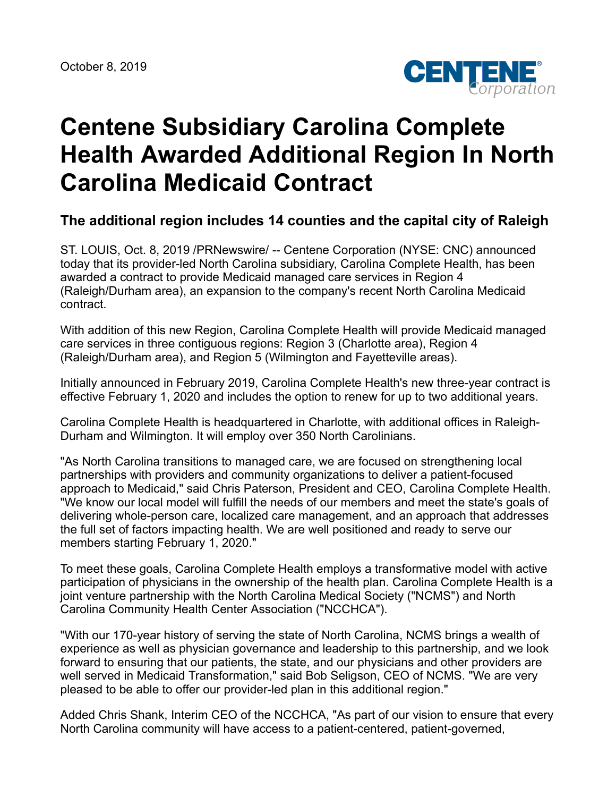

# **Centene Subsidiary Carolina Complete Health Awarded Additional Region In North Carolina Medicaid Contract**

# **The additional region includes 14 counties and the capital city of Raleigh**

ST. LOUIS, Oct. 8, 2019 /PRNewswire/ -- Centene Corporation (NYSE: CNC) announced today that its provider-led North Carolina subsidiary, Carolina Complete Health, has been awarded a contract to provide Medicaid managed care services in Region 4 (Raleigh/Durham area), an expansion to the company's recent North Carolina Medicaid contract.

With addition of this new Region, Carolina Complete Health will provide Medicaid managed care services in three contiguous regions: Region 3 (Charlotte area), Region 4 (Raleigh/Durham area), and Region 5 (Wilmington and Fayetteville areas).

Initially announced in February 2019, Carolina Complete Health's new three-year contract is effective February 1, 2020 and includes the option to renew for up to two additional years.

Carolina Complete Health is headquartered in Charlotte, with additional offices in Raleigh-Durham and Wilmington. It will employ over 350 North Carolinians.

"As North Carolina transitions to managed care, we are focused on strengthening local partnerships with providers and community organizations to deliver a patient-focused approach to Medicaid," said Chris Paterson, President and CEO, Carolina Complete Health. "We know our local model will fulfill the needs of our members and meet the state's goals of delivering whole-person care, localized care management, and an approach that addresses the full set of factors impacting health. We are well positioned and ready to serve our members starting February 1, 2020."

To meet these goals, Carolina Complete Health employs a transformative model with active participation of physicians in the ownership of the health plan. Carolina Complete Health is a joint venture partnership with the North Carolina Medical Society ("NCMS") and North Carolina Community Health Center Association ("NCCHCA").

"With our 170-year history of serving the state of North Carolina, NCMS brings a wealth of experience as well as physician governance and leadership to this partnership, and we look forward to ensuring that our patients, the state, and our physicians and other providers are well served in Medicaid Transformation," said Bob Seligson, CEO of NCMS. "We are very pleased to be able to offer our provider-led plan in this additional region."

Added Chris Shank, Interim CEO of the NCCHCA, "As part of our vision to ensure that every North Carolina community will have access to a patient-centered, patient-governed,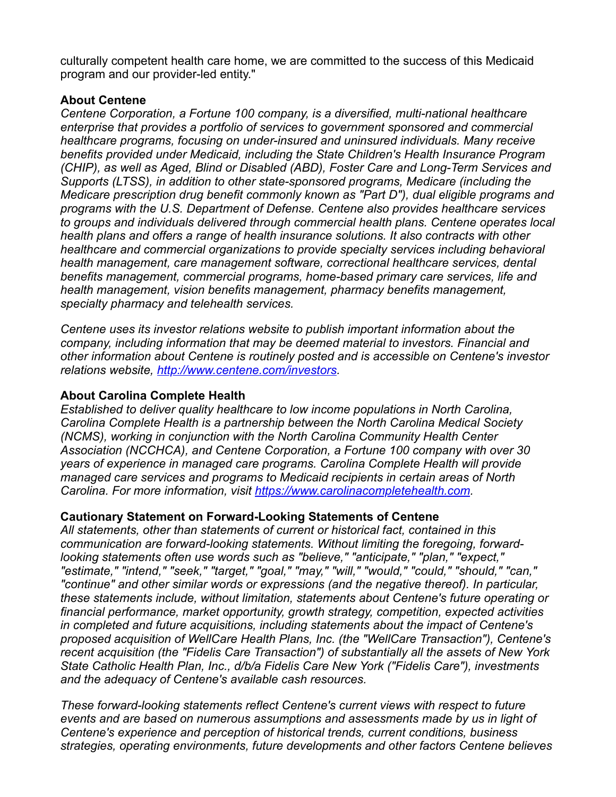culturally competent health care home, we are committed to the success of this Medicaid program and our provider-led entity."

#### **About Centene**

*Centene Corporation, a Fortune 100 company, is a diversified, multi-national healthcare enterprise that provides a portfolio of services to government sponsored and commercial healthcare programs, focusing on under-insured and uninsured individuals. Many receive benefits provided under Medicaid, including the State Children's Health Insurance Program (CHIP), as well as Aged, Blind or Disabled (ABD), Foster Care and Long-Term Services and Supports (LTSS), in addition to other state-sponsored programs, Medicare (including the Medicare prescription drug benefit commonly known as "Part D"), dual eligible programs and programs with the U.S. Department of Defense. Centene also provides healthcare services to groups and individuals delivered through commercial health plans. Centene operates local health plans and offers a range of health insurance solutions. It also contracts with other healthcare and commercial organizations to provide specialty services including behavioral health management, care management software, correctional healthcare services, dental benefits management, commercial programs, home-based primary care services, life and health management, vision benefits management, pharmacy benefits management, specialty pharmacy and telehealth services.*

*Centene uses its investor relations website to publish important information about the company, including information that may be deemed material to investors. Financial and other information about Centene is routinely posted and is accessible on Centene's investor relations website, <http://www.centene.com/investors>.*

## **About Carolina Complete Health**

*Established to deliver quality healthcare to low income populations in North Carolina, Carolina Complete Health is a partnership between the North Carolina Medical Society (NCMS), working in conjunction with the North Carolina Community Health Center Association (NCCHCA), and Centene Corporation, a Fortune 100 company with over 30 years of experience in managed care programs. Carolina Complete Health will provide managed care services and programs to Medicaid recipients in certain areas of North Carolina. For more information, visit [https://www.carolinacompletehealth.com](https://www.carolinacompletehealth.com/).*

### **Cautionary Statement on Forward-Looking Statements of Centene**

*All statements, other than statements of current or historical fact, contained in this communication are forward-looking statements. Without limiting the foregoing, forwardlooking statements often use words such as "believe," "anticipate," "plan," "expect," "estimate," "intend," "seek," "target," "goal," "may," "will," "would," "could," "should," "can," "continue" and other similar words or expressions (and the negative thereof). In particular, these statements include, without limitation, statements about Centene's future operating or financial performance, market opportunity, growth strategy, competition, expected activities in completed and future acquisitions, including statements about the impact of Centene's proposed acquisition of WellCare Health Plans, Inc. (the "WellCare Transaction"), Centene's recent acquisition (the "Fidelis Care Transaction") of substantially all the assets of New York State Catholic Health Plan, Inc., d/b/a Fidelis Care New York ("Fidelis Care"), investments and the adequacy of Centene's available cash resources.*

*These forward-looking statements reflect Centene's current views with respect to future events and are based on numerous assumptions and assessments made by us in light of Centene's experience and perception of historical trends, current conditions, business strategies, operating environments, future developments and other factors Centene believes*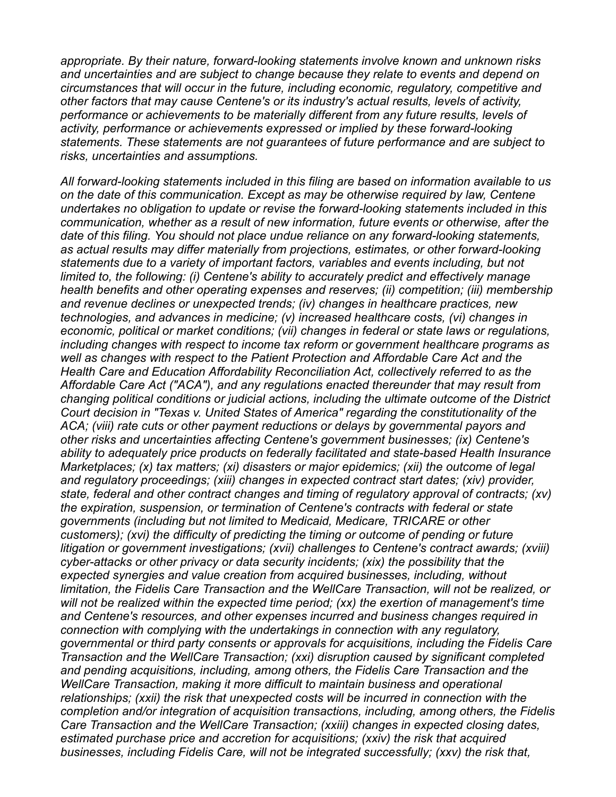*appropriate. By their nature, forward-looking statements involve known and unknown risks and uncertainties and are subject to change because they relate to events and depend on circumstances that will occur in the future, including economic, regulatory, competitive and other factors that may cause Centene's or its industry's actual results, levels of activity, performance or achievements to be materially different from any future results, levels of activity, performance or achievements expressed or implied by these forward-looking statements. These statements are not guarantees of future performance and are subject to risks, uncertainties and assumptions.*

*All forward-looking statements included in this filing are based on information available to us on the date of this communication. Except as may be otherwise required by law, Centene undertakes no obligation to update or revise the forward-looking statements included in this communication, whether as a result of new information, future events or otherwise, after the date of this filing. You should not place undue reliance on any forward-looking statements, as actual results may differ materially from projections, estimates, or other forward-looking statements due to a variety of important factors, variables and events including, but not limited to, the following: (i) Centene's ability to accurately predict and effectively manage health benefits and other operating expenses and reserves; (ii) competition; (iii) membership and revenue declines or unexpected trends; (iv) changes in healthcare practices, new technologies, and advances in medicine; (v) increased healthcare costs, (vi) changes in economic, political or market conditions; (vii) changes in federal or state laws or regulations, including changes with respect to income tax reform or government healthcare programs as well as changes with respect to the Patient Protection and Affordable Care Act and the Health Care and Education Affordability Reconciliation Act, collectively referred to as the Affordable Care Act ("ACA"), and any regulations enacted thereunder that may result from changing political conditions or judicial actions, including the ultimate outcome of the District Court decision in "Texas v. United States of America" regarding the constitutionality of the ACA; (viii) rate cuts or other payment reductions or delays by governmental payors and other risks and uncertainties affecting Centene's government businesses; (ix) Centene's ability to adequately price products on federally facilitated and state-based Health Insurance Marketplaces; (x) tax matters; (xi) disasters or major epidemics; (xii) the outcome of legal and regulatory proceedings; (xiii) changes in expected contract start dates; (xiv) provider, state, federal and other contract changes and timing of regulatory approval of contracts; (xv) the expiration, suspension, or termination of Centene's contracts with federal or state governments (including but not limited to Medicaid, Medicare, TRICARE or other customers); (xvi) the difficulty of predicting the timing or outcome of pending or future litigation or government investigations; (xvii) challenges to Centene's contract awards; (xviii) cyber-attacks or other privacy or data security incidents; (xix) the possibility that the expected synergies and value creation from acquired businesses, including, without limitation, the Fidelis Care Transaction and the WellCare Transaction, will not be realized, or will not be realized within the expected time period; (xx) the exertion of management's time and Centene's resources, and other expenses incurred and business changes required in connection with complying with the undertakings in connection with any regulatory, governmental or third party consents or approvals for acquisitions, including the Fidelis Care Transaction and the WellCare Transaction; (xxi) disruption caused by significant completed and pending acquisitions, including, among others, the Fidelis Care Transaction and the WellCare Transaction, making it more difficult to maintain business and operational relationships; (xxii) the risk that unexpected costs will be incurred in connection with the completion and/or integration of acquisition transactions, including, among others, the Fidelis Care Transaction and the WellCare Transaction; (xxiii) changes in expected closing dates, estimated purchase price and accretion for acquisitions; (xxiv) the risk that acquired businesses, including Fidelis Care, will not be integrated successfully; (xxv) the risk that,*